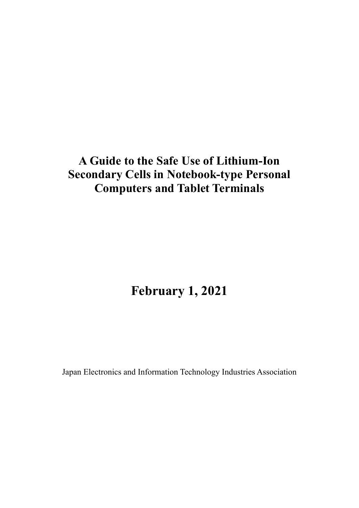# **A Guide to the Safe Use of Lithium-Ion Secondary Cells in Notebook-type Personal Computers and Tablet Terminals**

# **February 1, 2021**

Japan Electronics and Information Technology Industries Association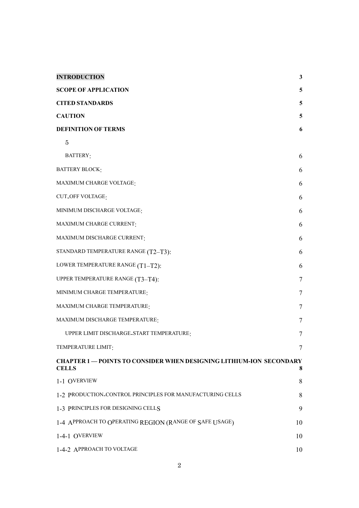| <b>INTRODUCTION</b>                                                                      | $\mathbf{3}$ |
|------------------------------------------------------------------------------------------|--------------|
| <b>SCOPE OF APPLICATION</b>                                                              | 5            |
| <b>CITED STANDARDS</b>                                                                   | 5            |
| <b>CAUTION</b>                                                                           | 5            |
| <b>DEFINITION OF TERMS</b>                                                               | 6            |
| 5                                                                                        |              |
| BATTERY:                                                                                 | 6            |
| <b>BATTERY BLOCK:</b>                                                                    | 6            |
| MAXIMUM CHARGE VOLTAGE:                                                                  | 6            |
| <b>CUT_OFF VOLTAGE:</b>                                                                  | 6            |
| MINIMUM DISCHARGE VOLTAGE:                                                               | 6            |
| MAXIMUM CHARGE CURRENT:                                                                  | 6            |
| MAXIMUM DISCHARGE CURRENT:                                                               | 6            |
| STANDARD TEMPERATURE RANGE (T2-T3):                                                      | 6            |
| LOWER TEMPERATURE RANGE (T1-T2):                                                         | 6            |
| UPPER TEMPERATURE RANGE (T3-T4):                                                         | 7            |
| MINIMUM CHARGE TEMPERATURE:                                                              | 7            |
| MAXIMUM CHARGE TEMPERATURE:                                                              | 7            |
| MAXIMUM DISCHARGE TEMPERATURE:                                                           | 7            |
| UPPER LIMIT DISCHARGE_START TEMPERATURE:                                                 | 7            |
| TEMPERATURE LIMIT:                                                                       | 7            |
| <b>CHAPTER 1-POINTS TO CONSIDER WHEN DESIGNING LITHIUM-ION SECONDARY</b><br><b>CELLS</b> | 8            |
| 1-1 OVERVIEW                                                                             | 8            |
| 1-2 PRODUCTION_CONTROL PRINCIPLES FOR MANUFACTURING CELLS                                | 8            |
| 1-3 PRINCIPLES FOR DESIGNING CELLS                                                       | 9            |
| 1-4 APPROACH TO OPERATING REGION (RANGE OF SAFE USAGE)                                   | 10           |
| 1-4-1 OVERVIEW                                                                           | 10           |
| 1-4-2 APPROACH TO VOLTAGE                                                                | 10           |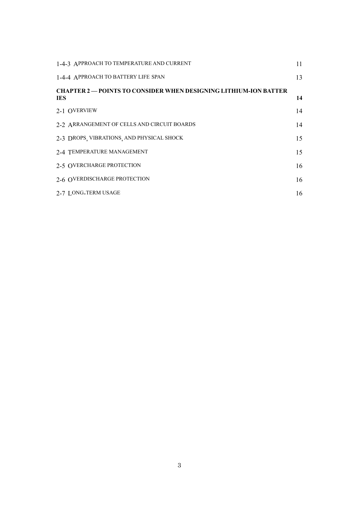| 1-4-3 APPROACH TO TEMPERATURE AND CURRENT                                             | 11 |
|---------------------------------------------------------------------------------------|----|
| 1-4-4 APPROACH TO BATTERY LIFE SPAN                                                   | 13 |
| <b>CHAPTER 2 — POINTS TO CONSIDER WHEN DESIGNING LITHIUM-ION BATTER</b><br><b>IES</b> | 14 |
| 2-1 OVERVIEW                                                                          | 14 |
| 2-2 ARRANGEMENT OF CELLS AND CIRCUIT BOARDS                                           | 14 |
| 2-3 DROPS, VIBRATIONS, AND PHYSICAL SHOCK                                             | 15 |
| 2-4 TEMPERATURE MANAGEMENT                                                            | 15 |
| 2-5 OVERCHARGE PROTECTION                                                             | 16 |
| 2-6 OVERDISCHARGE PROTECTION                                                          | 16 |
| 2-7 LONG-TERM USAGE                                                                   | 16 |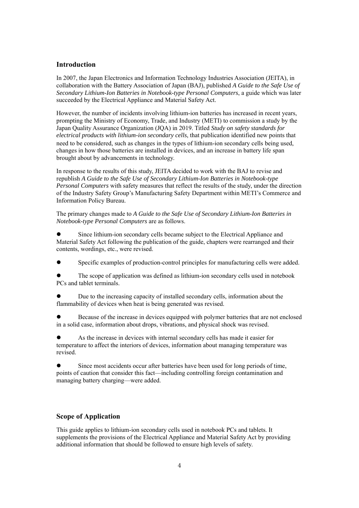## **Introduction**

In 2007, the Japan Electronics and Information Technology Industries Association (JEITA), in collaboration with the Battery Association of Japan (BAJ), published *A Guide to the Safe Use of Secondary Lithium-Ion Batteries in Notebook-type Personal Computers*, a guide which was later succeeded by the Electrical Appliance and Material Safety Act.

However, the number of incidents involving lithium-ion batteries has increased in recent years, prompting the Ministry of Economy, Trade, and Industry (METI) to commission a study by the Japan Quality Assurance Organization (JQA) in 2019. Titled *Study on safety standards for electrical products with lithium-ion secondary cells*, that publication identified new points that need to be considered, such as changes in the types of lithium-ion secondary cells being used, changes in how those batteries are installed in devices, and an increase in battery life span brought about by advancements in technology.

In response to the results of this study, JEITA decided to work with the BAJ to revise and republish *A Guide to the Safe Use of Secondary Lithium-Ion Batteries in Notebook-type Personal Computers* with safety measures that reflect the results of the study, under the direction of the Industry Safety Group's Manufacturing Safety Department within METI's Commerce and Information Policy Bureau.

The primary changes made to *A Guide to the Safe Use of Secondary Lithium-Ion Batteries in Notebook-type Personal Computers* are as follows.

 Since lithium-ion secondary cells became subject to the Electrical Appliance and Material Safety Act following the publication of the guide, chapters were rearranged and their contents, wordings, etc., were revised.

Specific examples of production-control principles for manufacturing cells were added.

 The scope of application was defined as lithium-ion secondary cells used in notebook PCs and tablet terminals.

 Due to the increasing capacity of installed secondary cells, information about the flammability of devices when heat is being generated was revised.

 Because of the increase in devices equipped with polymer batteries that are not enclosed in a solid case, information about drops, vibrations, and physical shock was revised.

 As the increase in devices with internal secondary cells has made it easier for temperature to affect the interiors of devices, information about managing temperature was revised.

 Since most accidents occur after batteries have been used for long periods of time, points of caution that consider this fact—including controlling foreign contamination and managing battery charging—were added.

## **Scope of Application**

This guide applies to lithium-ion secondary cells used in notebook PCs and tablets. It supplements the provisions of the Electrical Appliance and Material Safety Act by providing additional information that should be followed to ensure high levels of safety.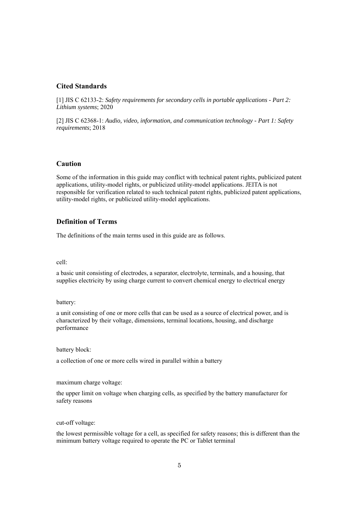# **Cited Standards**

[1] JIS C 62133-2: *Safety requirements for secondary cells in portable applications - Part 2: Lithium systems*; 2020

[2] JIS C 62368-1: *Audio, video, information, and communication technology - Part 1: Safety requirements*; 2018

# **Caution**

Some of the information in this guide may conflict with technical patent rights, publicized patent applications, utility-model rights, or publicized utility-model applications. JEITA is not responsible for verification related to such technical patent rights, publicized patent applications, utility-model rights, or publicized utility-model applications.

# **Definition of Terms**

The definitions of the main terms used in this guide are as follows.

cell:

a basic unit consisting of electrodes, a separator, electrolyte, terminals, and a housing, that supplies electricity by using charge current to convert chemical energy to electrical energy

battery:

a unit consisting of one or more cells that can be used as a source of electrical power, and is characterized by their voltage, dimensions, terminal locations, housing, and discharge performance

battery block:

a collection of one or more cells wired in parallel within a battery

maximum charge voltage:

the upper limit on voltage when charging cells, as specified by the battery manufacturer for safety reasons

cut-off voltage:

the lowest permissible voltage for a cell, as specified for safety reasons; this is different than the minimum battery voltage required to operate the PC or Tablet terminal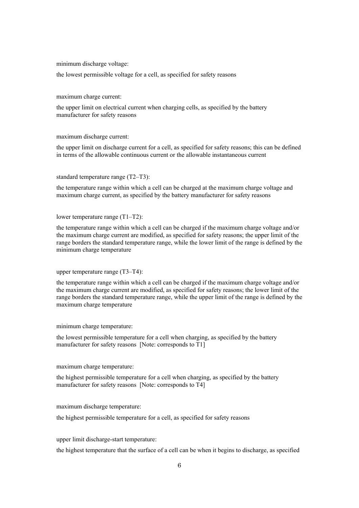#### minimum discharge voltage:

the lowest permissible voltage for a cell, as specified for safety reasons

#### maximum charge current:

the upper limit on electrical current when charging cells, as specified by the battery manufacturer for safety reasons

#### maximum discharge current:

the upper limit on discharge current for a cell, as specified for safety reasons; this can be defined in terms of the allowable continuous current or the allowable instantaneous current

#### standard temperature range (T2–T3):

the temperature range within which a cell can be charged at the maximum charge voltage and maximum charge current, as specified by the battery manufacturer for safety reasons

#### lower temperature range (T1–T2):

the temperature range within which a cell can be charged if the maximum charge voltage and/or the maximum charge current are modified, as specified for safety reasons; the upper limit of the range borders the standard temperature range, while the lower limit of the range is defined by the minimum charge temperature

#### upper temperature range (T3–T4):

the temperature range within which a cell can be charged if the maximum charge voltage and/or the maximum charge current are modified, as specified for safety reasons; the lower limit of the range borders the standard temperature range, while the upper limit of the range is defined by the maximum charge temperature

minimum charge temperature:

the lowest permissible temperature for a cell when charging, as specified by the battery manufacturer for safety reasons [Note: corresponds to T1]

#### maximum charge temperature:

the highest permissible temperature for a cell when charging, as specified by the battery manufacturer for safety reasons [Note: corresponds to T4]

maximum discharge temperature:

the highest permissible temperature for a cell, as specified for safety reasons

upper limit discharge-start temperature:

the highest temperature that the surface of a cell can be when it begins to discharge, as specified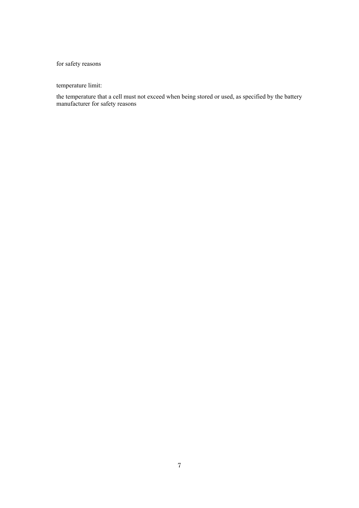# for safety reasons

temperature limit:

the temperature that a cell must not exceed when being stored or used, as specified by the battery manufacturer for safety reasons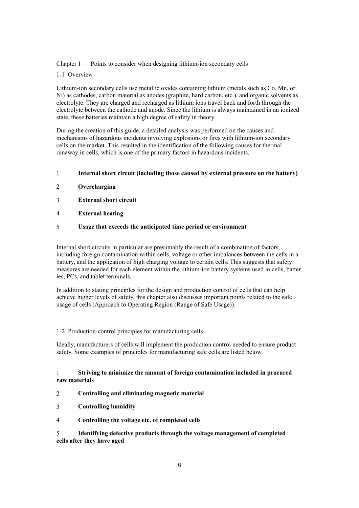Chapter 1 — Points to consider when designing lithium-ion secondary cells

1-1 Overview

Lithium-ion secondary cells use metallic oxides containing lithium (metals such as Co, Mn, or Ni) as cathodes, carbon material as anodes (graphite, hard carbon, etc.), and organic solvents as electrolyte. They are charged and recharged as lithium ions travel back and forth through the electrolyte between the cathode and anode. Since the lithium is always maintained in an ionized state, these batteries maintain a high degree of safety in theory.

During the creation of this guide, a detailed analysis was performed on the causes and mechanisms of hazardous incidents involving explosions or fires with lithium-ion secondary cells on the market. This resulted in the identification of the following causes for thermal runaway in cells, which is one of the primary factors in hazardous incidents.

- 1 **Internal short circuit (including those caused by external pressure on the battery)**
- 2 **Overcharging**
- 3 **External short circuit**
- 4 **External heating**

### 5 **Usage that exceeds the anticipated time period or environment**

Internal short circuits in particular are presumably the result of a combination of factors, including foreign contamination within cells, voltage or other imbalances between the cells in a battery, and the application of high charging voltage to certain cells. This suggests that safety measures are needed for each element within the lithium-ion battery systems used in cells, batter ies, PCs, and tablet terminals.

In addition to stating principles for the design and production control of cells that can help achieve higher levels of safety, this chapter also discusses important points related to the safe usage of cells (Approach to Operating Region (Range of Safe Usage)).

### 1-2 Production-control principles for manufacturing cells

Ideally, manufacturers of cells will implement the production control needed to ensure product safety. Some examples of principles for manufacturing safe cells are listed below.

## 1 **Striving to minimize the amount of foreign contamination included in procured raw materials**

### 2 **Controlling and eliminating magnetic material**

- 3 **Controlling humidity**
- 4 **Controlling the voltage etc. of completed cells**

5 **Identifying defective products through the voltage management of completed cells after they have aged**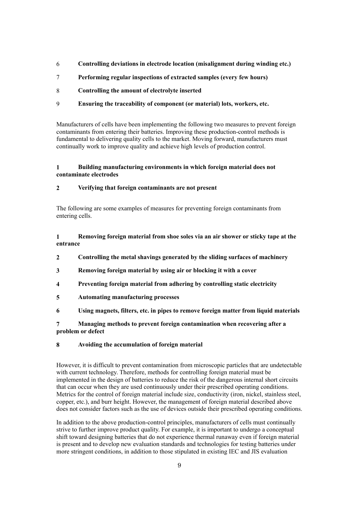- 6 **Controlling deviations in electrode location (misalignment during winding etc.)**
- 7 **Performing regular inspections of extracted samples (every few hours)**
- 8 **Controlling the amount of electrolyte inserted**
- 9 **Ensuring the traceability of component (or material) lots, workers, etc.**

Manufacturers of cells have been implementing the following two measures to prevent foreign contaminants from entering their batteries. Improving these production-control methods is fundamental to delivering quality cells to the market. Moving forward, manufacturers must continually work to improve quality and achieve high levels of production control.

# **1 Building manufacturing environments in which foreign material does not contaminate electrodes**

# **2 Verifying that foreign contaminants are not present**

The following are some examples of measures for preventing foreign contaminants from entering cells.

**1 Removing foreign material from shoe soles via an air shower or sticky tape at the entrance**

- **2 Controlling the metal shavings generated by the sliding surfaces of machinery**
- **3 Removing foreign material by using air or blocking it with a cover**
- **4 Preventing foreign material from adhering by controlling static electricity**
- **5 Automating manufacturing processes**
- **6 Using magnets, filters, etc. in pipes to remove foreign matter from liquid materials**

# **7 Managing methods to prevent foreign contamination when recovering after a problem or defect**

# **8 Avoiding the accumulation of foreign material**

However, it is difficult to prevent contamination from microscopic particles that are undetectable with current technology. Therefore, methods for controlling foreign material must be implemented in the design of batteries to reduce the risk of the dangerous internal short circuits that can occur when they are used continuously under their prescribed operating conditions. Metrics for the control of foreign material include size, conductivity (iron, nickel, stainless steel, copper, etc.), and burr height. However, the management of foreign material described above does not consider factors such as the use of devices outside their prescribed operating conditions.

In addition to the above production-control principles, manufacturers of cells must continually strive to further improve product quality. For example, it is important to undergo a conceptual shift toward designing batteries that do not experience thermal runaway even if foreign material is present and to develop new evaluation standards and technologies for testing batteries under more stringent conditions, in addition to those stipulated in existing IEC and JIS evaluation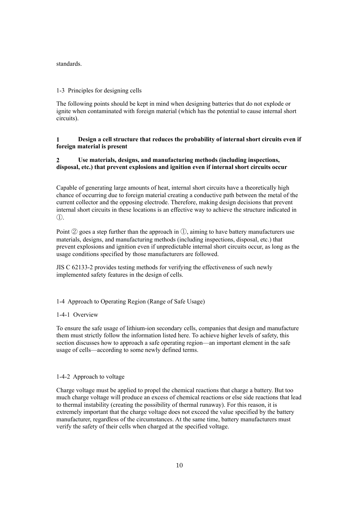standards.

#### 1-3 Principles for designing cells

The following points should be kept in mind when designing batteries that do not explode or ignite when contaminated with foreign material (which has the potential to cause internal short circuits).

## **1 Design a cell structure that reduces the probability of internal short circuits even if foreign material is present**

# **2 Use materials, designs, and manufacturing methods (including inspections, disposal, etc.) that prevent explosions and ignition even if internal short circuits occur**

Capable of generating large amounts of heat, internal short circuits have a theoretically high chance of occurring due to foreign material creating a conductive path between the metal of the current collector and the opposing electrode. Therefore, making design decisions that prevent internal short circuits in these locations is an effective way to achieve the structure indicated in ①.

Point  $\mathcal{D}$  goes a step further than the approach in  $\mathcal{D}$ , aiming to have battery manufacturers use materials, designs, and manufacturing methods (including inspections, disposal, etc.) that prevent explosions and ignition even if unpredictable internal short circuits occur, as long as the usage conditions specified by those manufacturers are followed.

JIS C 62133-2 provides testing methods for verifying the effectiveness of such newly implemented safety features in the design of cells.

### 1-4 Approach to Operating Region (Range of Safe Usage)

#### 1-4-1 Overview

To ensure the safe usage of lithium-ion secondary cells, companies that design and manufacture them must strictly follow the information listed here. To achieve higher levels of safety, this section discusses how to approach a safe operating region—an important element in the safe usage of cells—according to some newly defined terms.

#### 1-4-2 Approach to voltage

Charge voltage must be applied to propel the chemical reactions that charge a battery. But too much charge voltage will produce an excess of chemical reactions or else side reactions that lead to thermal instability (creating the possibility of thermal runaway). For this reason, it is extremely important that the charge voltage does not exceed the value specified by the battery manufacturer, regardless of the circumstances. At the same time, battery manufacturers must verify the safety of their cells when charged at the specified voltage.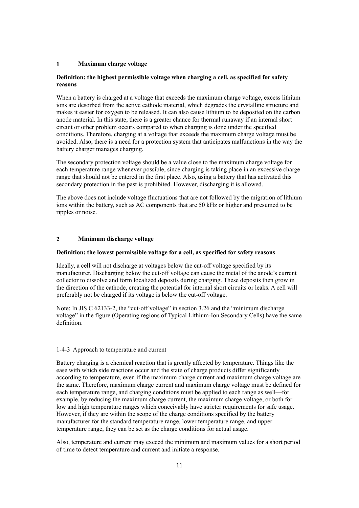### **1 Maximum charge voltage**

## **Definition: the highest permissible voltage when charging a cell, as specified for safety reasons**

When a battery is charged at a voltage that exceeds the maximum charge voltage, excess lithium ions are desorbed from the active cathode material, which degrades the crystalline structure and makes it easier for oxygen to be released. It can also cause lithium to be deposited on the carbon anode material. In this state, there is a greater chance for thermal runaway if an internal short circuit or other problem occurs compared to when charging is done under the specified conditions. Therefore, charging at a voltage that exceeds the maximum charge voltage must be avoided. Also, there is a need for a protection system that anticipates malfunctions in the way the battery charger manages charging.

The secondary protection voltage should be a value close to the maximum charge voltage for each temperature range whenever possible, since charging is taking place in an excessive charge range that should not be entered in the first place. Also, using a battery that has activated this secondary protection in the past is prohibited. However, discharging it is allowed.

The above does not include voltage fluctuations that are not followed by the migration of lithium ions within the battery, such as AC components that are 50 kHz or higher and presumed to be ripples or noise.

#### **2 Minimum discharge voltage**

#### **Definition: the lowest permissible voltage for a cell, as specified for safety reasons**

Ideally, a cell will not discharge at voltages below the cut-off voltage specified by its manufacturer. Discharging below the cut-off voltage can cause the metal of the anode's current collector to dissolve and form localized deposits during charging. These deposits then grow in the direction of the cathode, creating the potential for internal short circuits or leaks. A cell will preferably not be charged if its voltage is below the cut-off voltage.

Note: In JIS C 62133-2, the "cut-off voltage" in section 3.26 and the "minimum discharge voltage" in the figure (Operating regions of Typical Lithium-Ion Secondary Cells) have the same definition.

#### 1-4-3 Approach to temperature and current

Battery charging is a chemical reaction that is greatly affected by temperature. Things like the ease with which side reactions occur and the state of charge products differ significantly according to temperature, even if the maximum charge current and maximum charge voltage are the same. Therefore, maximum charge current and maximum charge voltage must be defined for each temperature range, and charging conditions must be applied to each range as well—for example, by reducing the maximum charge current, the maximum charge voltage, or both for low and high temperature ranges which conceivably have stricter requirements for safe usage. However, if they are within the scope of the charge conditions specified by the battery manufacturer for the standard temperature range, lower temperature range, and upper temperature range, they can be set as the charge conditions for actual usage.

Also, temperature and current may exceed the minimum and maximum values for a short period of time to detect temperature and current and initiate a response.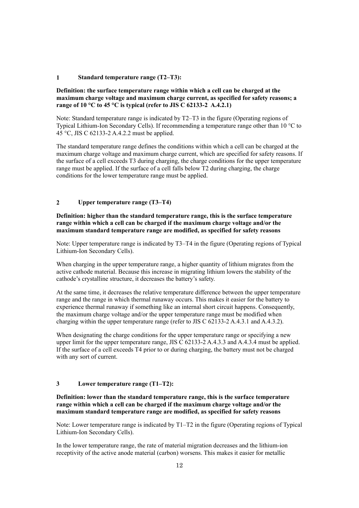#### **1 Standard temperature range (T2–T3):**

## **Definition: the surface temperature range within which a cell can be charged at the maximum charge voltage and maximum charge current, as specified for safety reasons; a range of 10 °C to 45 °C is typical (refer to JIS C 62133-2 A.4.2.1)**

Note: Standard temperature range is indicated by T2–T3 in the figure (Operating regions of Typical Lithium-Ion Secondary Cells). If recommending a temperature range other than 10 °C to 45 °C, JIS C 62133-2 A.4.2.2 must be applied.

The standard temperature range defines the conditions within which a cell can be charged at the maximum charge voltage and maximum charge current, which are specified for safety reasons. If the surface of a cell exceeds T3 during charging, the charge conditions for the upper temperature range must be applied. If the surface of a cell falls below T2 during charging, the charge conditions for the lower temperature range must be applied.

### **2 Upper temperature range (T3–T4)**

## **Definition: higher than the standard temperature range, this is the surface temperature range within which a cell can be charged if the maximum charge voltage and/or the maximum standard temperature range are modified, as specified for safety reasons**

Note: Upper temperature range is indicated by T3–T4 in the figure (Operating regions of Typical Lithium-Ion Secondary Cells).

When charging in the upper temperature range, a higher quantity of lithium migrates from the active cathode material. Because this increase in migrating lithium lowers the stability of the cathode's crystalline structure, it decreases the battery's safety.

At the same time, it decreases the relative temperature difference between the upper temperature range and the range in which thermal runaway occurs. This makes it easier for the battery to experience thermal runaway if something like an internal short circuit happens. Consequently, the maximum charge voltage and/or the upper temperature range must be modified when charging within the upper temperature range (refer to JIS C 62133-2 A.4.3.1 and A.4.3.2).

When designating the charge conditions for the upper temperature range or specifying a new upper limit for the upper temperature range, JIS  $\overline{C}$  62133-2 A.4.3.3 and A.4.3.4 must be applied. If the surface of a cell exceeds T4 prior to or during charging, the battery must not be charged with any sort of current.

# **3 Lower temperature range (T1–T2):**

## **Definition: lower than the standard temperature range, this is the surface temperature range within which a cell can be charged if the maximum charge voltage and/or the maximum standard temperature range are modified, as specified for safety reasons**

Note: Lower temperature range is indicated by T1–T2 in the figure (Operating regions of Typical Lithium-Ion Secondary Cells).

In the lower temperature range, the rate of material migration decreases and the lithium-ion receptivity of the active anode material (carbon) worsens. This makes it easier for metallic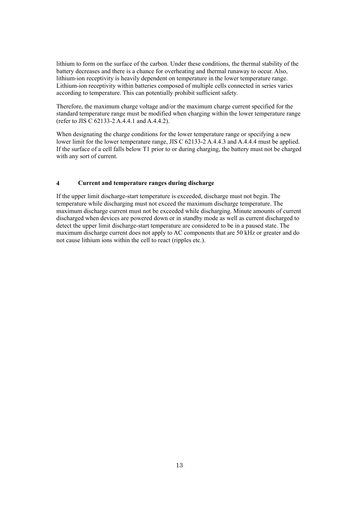lithium to form on the surface of the carbon. Under these conditions, the thermal stability of the battery decreases and there is a chance for overheating and thermal runaway to occur. Also, lithium-ion receptivity is heavily dependent on temperature in the lower temperature range. Lithium-ion receptivity within batteries composed of multiple cells connected in series varies according to temperature. This can potentially prohibit sufficient safety.

Therefore, the maximum charge voltage and/or the maximum charge current specified for the standard temperature range must be modified when charging within the lower temperature range (refer to JIS C 62133-2 A.4.4.1 and A.4.4.2).

When designating the charge conditions for the lower temperature range or specifying a new lower limit for the lower temperature range, JIS C 62133-2 A.4.4.3 and A.4.4.4 must be applied. If the surface of a cell falls below T1 prior to or during charging, the battery must not be charged with any sort of current.

## **4 Current and temperature ranges during discharge**

If the upper limit discharge-start temperature is exceeded, discharge must not begin. The temperature while discharging must not exceed the maximum discharge temperature. The maximum discharge current must not be exceeded while discharging. Minute amounts of current discharged when devices are powered down or in standby mode as well as current discharged to detect the upper limit discharge-start temperature are considered to be in a paused state. The maximum discharge current does not apply to AC components that are 50 kHz or greater and do not cause lithium ions within the cell to react (ripples etc.).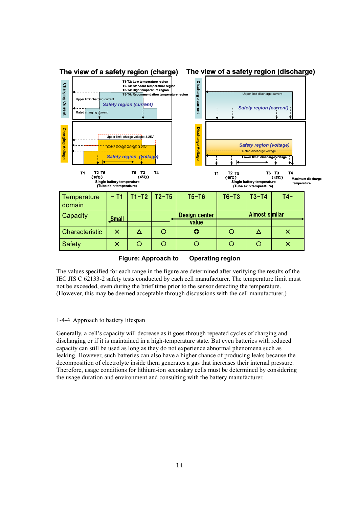

**Figure: Approach to Operating region**

The values specified for each range in the figure are determined after verifying the results of the IEC JIS C 62133-2 safety tests conducted by each cell manufacturer. The temperature limit must not be exceeded, even during the brief time prior to the sensor detecting the temperature. (However, this may be deemed acceptable through discussions with the cell manufacturer.)

### 1-4-4 Approach to battery lifespan

Generally, a cell's capacity will decrease as it goes through repeated cycles of charging and discharging or if it is maintained in a high-temperature state. But even batteries with reduced capacity can still be used as long as they do not experience abnormal phenomena such as leaking. However, such batteries can also have a higher chance of producing leaks because the decomposition of electrolyte inside them generates a gas that increases their internal pressure. Therefore, usage conditions for lithium-ion secondary cells must be determined by considering the usage duration and environment and consulting with the battery manufacturer.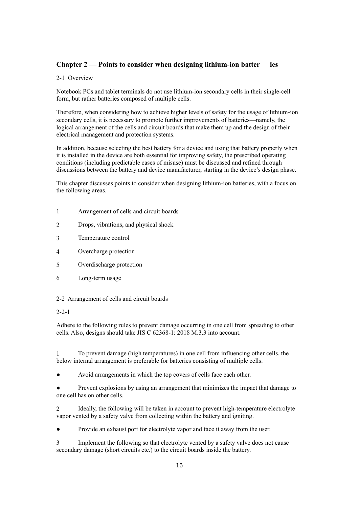# **Chapter 2 — Points to consider when designing lithium-ion batter ies**

# 2-1 Overview

Notebook PCs and tablet terminals do not use lithium-ion secondary cells in their single-cell form, but rather batteries composed of multiple cells.

Therefore, when considering how to achieve higher levels of safety for the usage of lithium-ion secondary cells, it is necessary to promote further improvements of batteries—namely, the logical arrangement of the cells and circuit boards that make them up and the design of their electrical management and protection systems.

In addition, because selecting the best battery for a device and using that battery properly when it is installed in the device are both essential for improving safety, the prescribed operating conditions (including predictable cases of misuse) must be discussed and refined through discussions between the battery and device manufacturer, starting in the device's design phase.

This chapter discusses points to consider when designing lithium-ion batteries, with a focus on the following areas.

- 1 Arrangement of cells and circuit boards
- 2 Drops, vibrations, and physical shock
- 3 Temperature control
- 4 Overcharge protection
- 5 Overdischarge protection
- 6 Long-term usage

### 2-2 Arrangement of cells and circuit boards

### 2-2-1

Adhere to the following rules to prevent damage occurring in one cell from spreading to other cells. Also, designs should take JIS C 62368-1: 2018 M.3.3 into account.

1 To prevent damage (high temperatures) in one cell from influencing other cells, the below internal arrangement is preferable for batteries consisting of multiple cells.

Avoid arrangements in which the top covers of cells face each other.

Prevent explosions by using an arrangement that minimizes the impact that damage to one cell has on other cells.

2 Ideally, the following will be taken in account to prevent high-temperature electrolyte vapor vented by a safety valve from collecting within the battery and igniting.

Provide an exhaust port for electrolyte vapor and face it away from the user.

3 Implement the following so that electrolyte vented by a safety valve does not cause secondary damage (short circuits etc.) to the circuit boards inside the battery.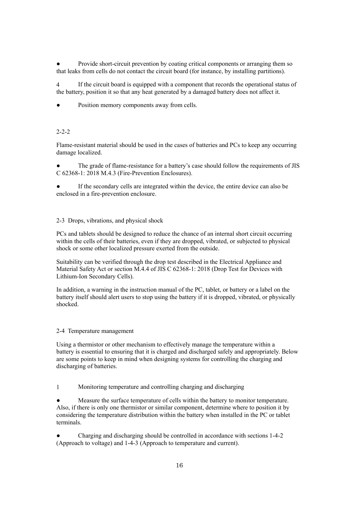Provide short-circuit prevention by coating critical components or arranging them so that leaks from cells do not contact the circuit board (for instance, by installing partitions).

4 If the circuit board is equipped with a component that records the operational status of the battery, position it so that any heat generated by a damaged battery does not affect it.

Position memory components away from cells.

# 2-2-2

Flame-resistant material should be used in the cases of batteries and PCs to keep any occurring damage localized.

The grade of flame-resistance for a battery's case should follow the requirements of JIS C 62368-1: 2018 M.4.3 (Fire-Prevention Enclosures).

If the secondary cells are integrated within the device, the entire device can also be enclosed in a fire-prevention enclosure.

#### 2-3 Drops, vibrations, and physical shock

PCs and tablets should be designed to reduce the chance of an internal short circuit occurring within the cells of their batteries, even if they are dropped, vibrated, or subjected to physical shock or some other localized pressure exerted from the outside.

Suitability can be verified through the drop test described in the Electrical Appliance and Material Safety Act or section M.4.4 of JIS C 62368-1: 2018 (Drop Test for Devices with Lithium-Ion Secondary Cells).

In addition, a warning in the instruction manual of the PC, tablet, or battery or a label on the battery itself should alert users to stop using the battery if it is dropped, vibrated, or physically shocked.

#### 2-4 Temperature management

Using a thermistor or other mechanism to effectively manage the temperature within a battery is essential to ensuring that it is charged and discharged safely and appropriately. Below are some points to keep in mind when designing systems for controlling the charging and discharging of batteries.

1 Monitoring temperature and controlling charging and discharging

Measure the surface temperature of cells within the battery to monitor temperature. Also, if there is only one thermistor or similar component, determine where to position it by considering the temperature distribution within the battery when installed in the PC or tablet terminals.

Charging and discharging should be controlled in accordance with sections 1-4-2 (Approach to voltage) and 1-4-3 (Approach to temperature and current).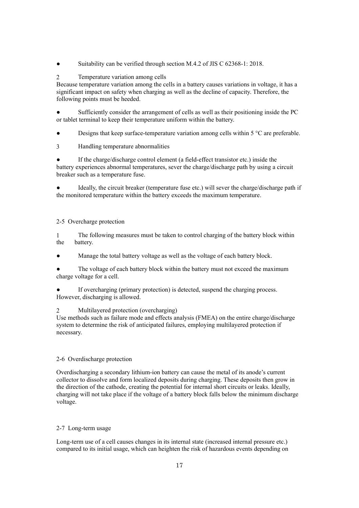Suitability can be verified through section M.4.2 of JIS C 62368-1: 2018.

## 2 Temperature variation among cells

Because temperature variation among the cells in a battery causes variations in voltage, it has a significant impact on safety when charging as well as the decline of capacity. Therefore, the following points must be heeded.

Sufficiently consider the arrangement of cells as well as their positioning inside the PC or tablet terminal to keep their temperature uniform within the battery.

Designs that keep surface-temperature variation among cells within  $5^{\circ}$ C are preferable.

3 Handling temperature abnormalities

If the charge/discharge control element (a field-effect transistor etc.) inside the battery experiences abnormal temperatures, sever the charge/discharge path by using a circuit breaker such as a temperature fuse.

Ideally, the circuit breaker (temperature fuse etc.) will sever the charge/discharge path if the monitored temperature within the battery exceeds the maximum temperature.

### 2-5 Overcharge protection

1 The following measures must be taken to control charging of the battery block within the battery.

Manage the total battery voltage as well as the voltage of each battery block.

The voltage of each battery block within the battery must not exceed the maximum charge voltage for a cell.

If overcharging (primary protection) is detected, suspend the charging process. However, discharging is allowed.

2 Multilayered protection (overcharging)

Use methods such as failure mode and effects analysis (FMEA) on the entire charge/discharge system to determine the risk of anticipated failures, employing multilayered protection if necessary.

### 2-6 Overdischarge protection

Overdischarging a secondary lithium-ion battery can cause the metal of its anode's current collector to dissolve and form localized deposits during charging. These deposits then grow in the direction of the cathode, creating the potential for internal short circuits or leaks. Ideally, charging will not take place if the voltage of a battery block falls below the minimum discharge voltage.

### 2-7 Long-term usage

Long-term use of a cell causes changes in its internal state (increased internal pressure etc.) compared to its initial usage, which can heighten the risk of hazardous events depending on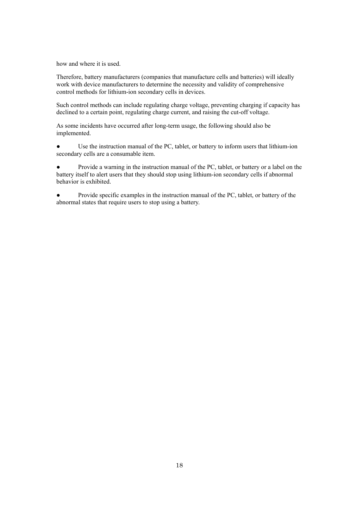how and where it is used.

Therefore, battery manufacturers (companies that manufacture cells and batteries) will ideally work with device manufacturers to determine the necessity and validity of comprehensive control methods for lithium-ion secondary cells in devices.

Such control methods can include regulating charge voltage, preventing charging if capacity has declined to a certain point, regulating charge current, and raising the cut-off voltage.

As some incidents have occurred after long-term usage, the following should also be implemented.

Use the instruction manual of the PC, tablet, or battery to inform users that lithium-ion secondary cells are a consumable item.

● Provide a warning in the instruction manual of the PC, tablet, or battery or a label on the battery itself to alert users that they should stop using lithium-ion secondary cells if abnormal behavior is exhibited.

● Provide specific examples in the instruction manual of the PC, tablet, or battery of the abnormal states that require users to stop using a battery.